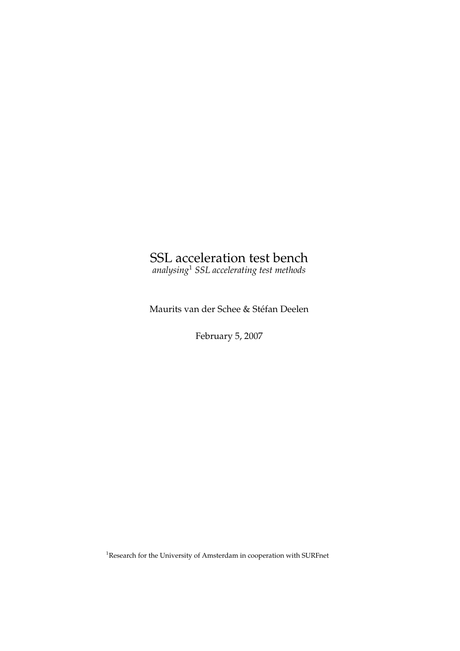# SSL acceleration test bench

*analysing*<sup>1</sup> *SSL accelerating test methods*

Maurits van der Schee & Stefan Deelen ´

February 5, 2007

<sup>1</sup>Research for the University of Amsterdam in cooperation with SURFnet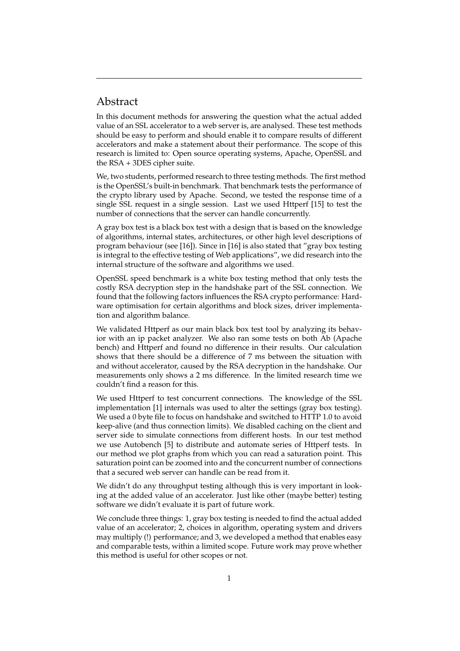## Abstract

In this document methods for answering the question what the actual added value of an SSL accelerator to a web server is, are analysed. These test methods should be easy to perform and should enable it to compare results of different accelerators and make a statement about their performance. The scope of this research is limited to: Open source operating systems, Apache, OpenSSL and the RSA + 3DES cipher suite.

We, two students, performed research to three testing methods. The first method is the OpenSSL's built-in benchmark. That benchmark tests the performance of the crypto library used by Apache. Second, we tested the response time of a single SSL request in a single session. Last we used Httperf [15] to test the number of connections that the server can handle concurrently.

A gray box test is a black box test with a design that is based on the knowledge of algorithms, internal states, architectures, or other high level descriptions of program behaviour (see [16]). Since in [16] is also stated that "gray box testing is integral to the effective testing of Web applications", we did research into the internal structure of the software and algorithms we used.

OpenSSL speed benchmark is a white box testing method that only tests the costly RSA decryption step in the handshake part of the SSL connection. We found that the following factors influences the RSA crypto performance: Hardware optimisation for certain algorithms and block sizes, driver implementation and algorithm balance.

We validated Httperf as our main black box test tool by analyzing its behavior with an ip packet analyzer. We also ran some tests on both Ab (Apache bench) and Httperf and found no difference in their results. Our calculation shows that there should be a difference of 7 ms between the situation with and without accelerator, caused by the RSA decryption in the handshake. Our measurements only shows a 2 ms difference. In the limited research time we couldn't find a reason for this.

We used Httperf to test concurrent connections. The knowledge of the SSL implementation [1] internals was used to alter the settings (gray box testing). We used a 0 byte file to focus on handshake and switched to HTTP 1.0 to avoid keep-alive (and thus connection limits). We disabled caching on the client and server side to simulate connections from different hosts. In our test method we use Autobench [5] to distribute and automate series of Httperf tests. In our method we plot graphs from which you can read a saturation point. This saturation point can be zoomed into and the concurrent number of connections that a secured web server can handle can be read from it.

We didn't do any throughput testing although this is very important in looking at the added value of an accelerator. Just like other (maybe better) testing software we didn't evaluate it is part of future work.

We conclude three things: 1, gray box testing is needed to find the actual added value of an accelerator; 2, choices in algorithm, operating system and drivers may multiply (!) performance; and 3, we developed a method that enables easy and comparable tests, within a limited scope. Future work may prove whether this method is useful for other scopes or not.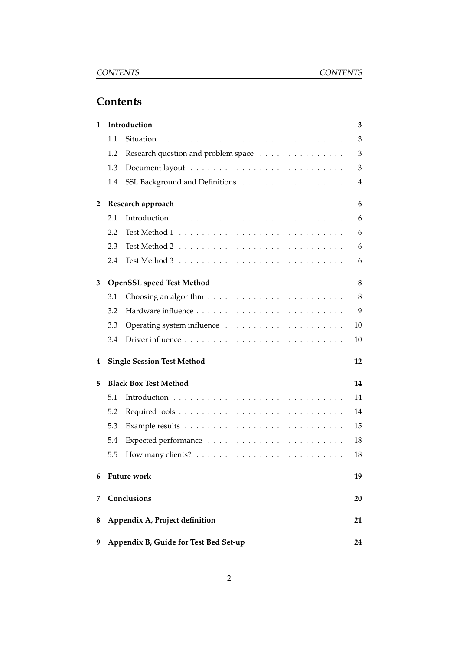## **Contents**

| 1              |     | Introduction                          | 3  |
|----------------|-----|---------------------------------------|----|
|                | 1.1 |                                       | 3  |
|                | 1.2 | Research question and problem space   | 3  |
|                | 1.3 |                                       | 3  |
|                | 1.4 |                                       | 4  |
| $\overline{2}$ |     | Research approach                     | 6  |
|                | 2.1 |                                       | 6  |
|                | 2.2 |                                       | 6  |
|                | 2.3 |                                       | 6  |
|                | 2.4 |                                       | 6  |
| 3              |     | <b>OpenSSL speed Test Method</b>      | 8  |
|                | 3.1 |                                       | 8  |
|                | 3.2 |                                       | 9  |
|                | 3.3 |                                       | 10 |
|                | 3.4 |                                       | 10 |
| 4              |     | <b>Single Session Test Method</b>     | 12 |
| 5              |     | <b>Black Box Test Method</b>          | 14 |
|                | 5.1 |                                       | 14 |
|                | 5.2 |                                       | 14 |
|                | 5.3 |                                       | 15 |
|                | 5.4 |                                       | 18 |
|                | 5.5 |                                       | 18 |
| 6              |     | <b>Future work</b>                    | 19 |
| 7              |     | Conclusions                           | 20 |
| 8              |     | Appendix A, Project definition        | 21 |
| 9              |     | Appendix B, Guide for Test Bed Set-up | 24 |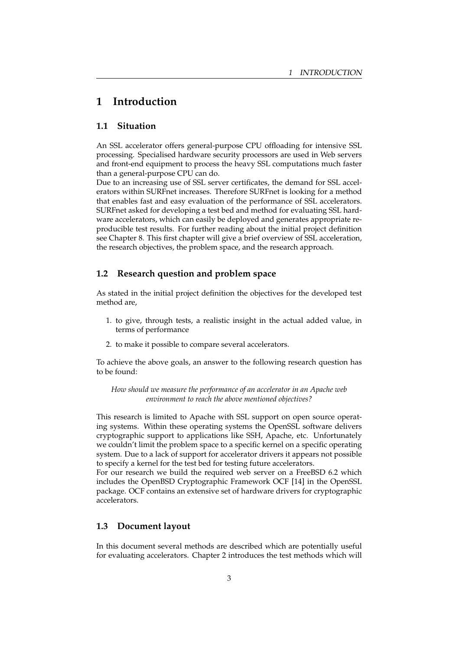## **1 Introduction**

### **1.1 Situation**

An SSL accelerator offers general-purpose CPU offloading for intensive SSL processing. Specialised hardware security processors are used in Web servers and front-end equipment to process the heavy SSL computations much faster than a general-purpose CPU can do.

Due to an increasing use of SSL server certificates, the demand for SSL accelerators within SURFnet increases. Therefore SURFnet is looking for a method that enables fast and easy evaluation of the performance of SSL accelerators. SURFnet asked for developing a test bed and method for evaluating SSL hardware accelerators, which can easily be deployed and generates appropriate reproducible test results. For further reading about the initial project definition see Chapter 8. This first chapter will give a brief overview of SSL acceleration, the research objectives, the problem space, and the research approach.

### **1.2 Research question and problem space**

As stated in the initial project definition the objectives for the developed test method are,

- 1. to give, through tests, a realistic insight in the actual added value, in terms of performance
- 2. to make it possible to compare several accelerators.

To achieve the above goals, an answer to the following research question has to be found:

*How should we measure the performance of an accelerator in an Apache web environment to reach the above mentioned objectives?*

This research is limited to Apache with SSL support on open source operating systems. Within these operating systems the OpenSSL software delivers cryptographic support to applications like SSH, Apache, etc. Unfortunately we couldn't limit the problem space to a specific kernel on a specific operating system. Due to a lack of support for accelerator drivers it appears not possible to specify a kernel for the test bed for testing future accelerators.

For our research we build the required web server on a FreeBSD 6.2 which includes the OpenBSD Cryptographic Framework OCF [14] in the OpenSSL package. OCF contains an extensive set of hardware drivers for cryptographic accelerators.

### **1.3 Document layout**

In this document several methods are described which are potentially useful for evaluating accelerators. Chapter 2 introduces the test methods which will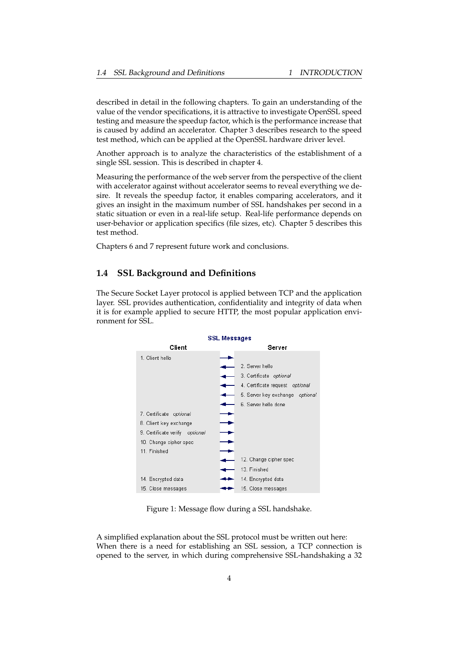described in detail in the following chapters. To gain an understanding of the value of the vendor specifications, it is attractive to investigate OpenSSL speed testing and measure the speedup factor, which is the performance increase that is caused by addind an accelerator. Chapter 3 describes research to the speed test method, which can be applied at the OpenSSL hardware driver level.

Another approach is to analyze the characteristics of the establishment of a single SSL session. This is described in chapter 4.

Measuring the performance of the web server from the perspective of the client with accelerator against without accelerator seems to reveal everything we desire. It reveals the speedup factor, it enables comparing accelerators, and it gives an insight in the maximum number of SSL handshakes per second in a static situation or even in a real-life setup. Real-life performance depends on user-behavior or application specifics (file sizes, etc). Chapter 5 describes this test method.

Chapters 6 and 7 represent future work and conclusions.

### **1.4 SSL Background and Definitions**

The Secure Socket Layer protocol is applied between TCP and the application layer. SSL provides authentication, confidentiality and integrity of data when it is for example applied to secure HTTP, the most popular application environment for SSL.



Figure 1: Message flow during a SSL handshake.

A simplified explanation about the SSL protocol must be written out here: When there is a need for establishing an SSL session, a TCP connection is opened to the server, in which during comprehensive SSL-handshaking a 32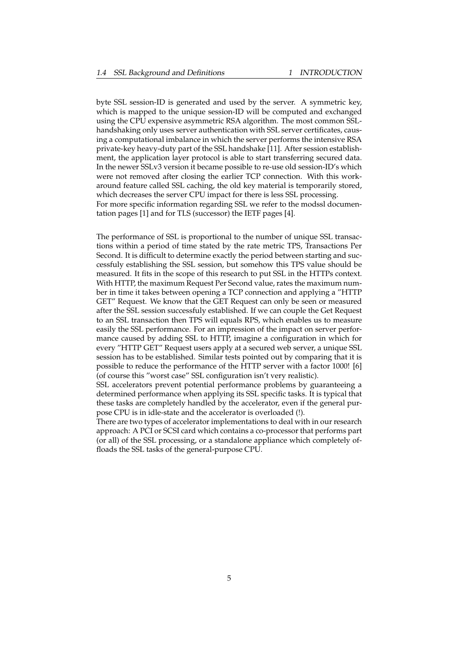byte SSL session-ID is generated and used by the server. A symmetric key, which is mapped to the unique session-ID will be computed and exchanged using the CPU expensive asymmetric RSA algorithm. The most common SSLhandshaking only uses server authentication with SSL server certificates, causing a computational imbalance in which the server performs the intensive RSA private-key heavy-duty part of the SSL handshake [11]. After session establishment, the application layer protocol is able to start transferring secured data. In the newer SSLv3 version it became possible to re-use old session-ID's which were not removed after closing the earlier TCP connection. With this workaround feature called SSL caching, the old key material is temporarily stored, which decreases the server CPU impact for there is less SSL processing. For more specific information regarding SSL we refer to the modssl documentation pages [1] and for TLS (successor) the IETF pages [4].

The performance of SSL is proportional to the number of unique SSL transactions within a period of time stated by the rate metric TPS, Transactions Per Second. It is difficult to determine exactly the period between starting and successfuly establishing the SSL session, but somehow this TPS value should be measured. It fits in the scope of this research to put SSL in the HTTPs context. With HTTP, the maximum Request Per Second value, rates the maximum number in time it takes between opening a TCP connection and applying a "HTTP GET" Request. We know that the GET Request can only be seen or measured after the SSL session successfuly established. If we can couple the Get Request to an SSL transaction then TPS will equals RPS, which enables us to measure easily the SSL performance. For an impression of the impact on server performance caused by adding SSL to HTTP, imagine a configuration in which for every "HTTP GET" Request users apply at a secured web server, a unique SSL session has to be established. Similar tests pointed out by comparing that it is possible to reduce the performance of the HTTP server with a factor 1000! [6] (of course this "worst case" SSL configuration isn't very realistic).

SSL accelerators prevent potential performance problems by guaranteeing a determined performance when applying its SSL specific tasks. It is typical that these tasks are completely handled by the accelerator, even if the general purpose CPU is in idle-state and the accelerator is overloaded (!).

There are two types of accelerator implementations to deal with in our research approach: A PCI or SCSI card which contains a co-processor that performs part (or all) of the SSL processing, or a standalone appliance which completely offloads the SSL tasks of the general-purpose CPU.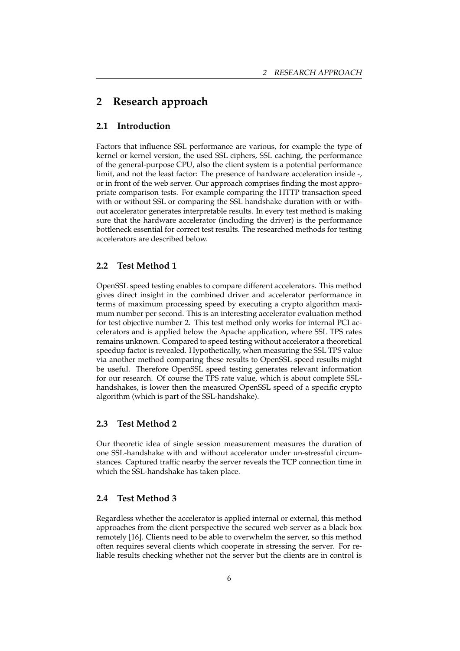## **2 Research approach**

### **2.1 Introduction**

Factors that influence SSL performance are various, for example the type of kernel or kernel version, the used SSL ciphers, SSL caching, the performance of the general-purpose CPU, also the client system is a potential performance limit, and not the least factor: The presence of hardware acceleration inside -, or in front of the web server. Our approach comprises finding the most appropriate comparison tests. For example comparing the HTTP transaction speed with or without SSL or comparing the SSL handshake duration with or without accelerator generates interpretable results. In every test method is making sure that the hardware accelerator (including the driver) is the performance bottleneck essential for correct test results. The researched methods for testing accelerators are described below.

### **2.2 Test Method 1**

OpenSSL speed testing enables to compare different accelerators. This method gives direct insight in the combined driver and accelerator performance in terms of maximum processing speed by executing a crypto algorithm maximum number per second. This is an interesting accelerator evaluation method for test objective number 2. This test method only works for internal PCI accelerators and is applied below the Apache application, where SSL TPS rates remains unknown. Compared to speed testing without accelerator a theoretical speedup factor is revealed. Hypothetically, when measuring the SSL TPS value via another method comparing these results to OpenSSL speed results might be useful. Therefore OpenSSL speed testing generates relevant information for our research. Of course the TPS rate value, which is about complete SSLhandshakes, is lower then the measured OpenSSL speed of a specific crypto algorithm (which is part of the SSL-handshake).

### **2.3 Test Method 2**

Our theoretic idea of single session measurement measures the duration of one SSL-handshake with and without accelerator under un-stressful circumstances. Captured traffic nearby the server reveals the TCP connection time in which the SSL-handshake has taken place.

### **2.4 Test Method 3**

Regardless whether the accelerator is applied internal or external, this method approaches from the client perspective the secured web server as a black box remotely [16]. Clients need to be able to overwhelm the server, so this method often requires several clients which cooperate in stressing the server. For reliable results checking whether not the server but the clients are in control is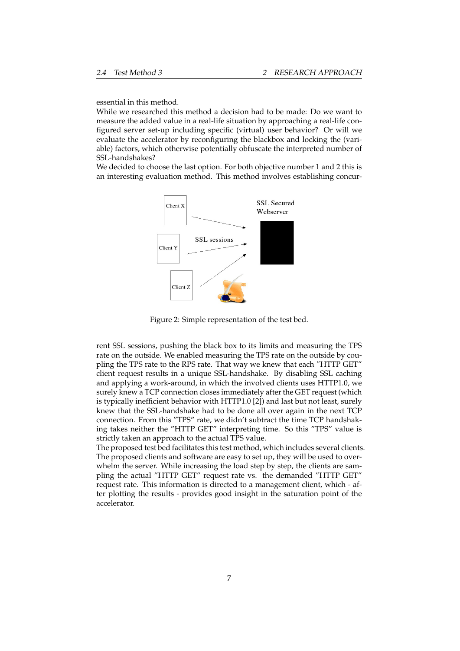essential in this method.

While we researched this method a decision had to be made: Do we want to measure the added value in a real-life situation by approaching a real-life configured server set-up including specific (virtual) user behavior? Or will we evaluate the accelerator by reconfiguring the blackbox and locking the (variable) factors, which otherwise potentially obfuscate the interpreted number of SSL-handshakes?

We decided to choose the last option. For both objective number 1 and 2 this is an interesting evaluation method. This method involves establishing concur-



Figure 2: Simple representation of the test bed.

rent SSL sessions, pushing the black box to its limits and measuring the TPS rate on the outside. We enabled measuring the TPS rate on the outside by coupling the TPS rate to the RPS rate. That way we knew that each "HTTP GET" client request results in a unique SSL-handshake. By disabling SSL caching and applying a work-around, in which the involved clients uses HTTP1.0, we surely knew a TCP connection closes immediately after the GET request (which is typically inefficient behavior with HTTP1.0 [2]) and last but not least, surely knew that the SSL-handshake had to be done all over again in the next TCP connection. From this "TPS" rate, we didn't subtract the time TCP handshaking takes neither the "HTTP GET" interpreting time. So this "TPS" value is strictly taken an approach to the actual TPS value.

The proposed test bed facilitates this test method, which includes several clients. The proposed clients and software are easy to set up, they will be used to overwhelm the server. While increasing the load step by step, the clients are sampling the actual "HTTP GET" request rate vs. the demanded "HTTP GET" request rate. This information is directed to a management client, which - after plotting the results - provides good insight in the saturation point of the accelerator.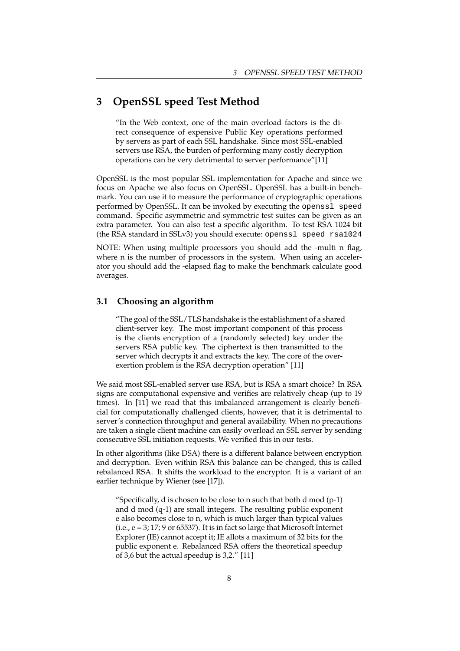## **3 OpenSSL speed Test Method**

"In the Web context, one of the main overload factors is the direct consequence of expensive Public Key operations performed by servers as part of each SSL handshake. Since most SSL-enabled servers use RSA, the burden of performing many costly decryption operations can be very detrimental to server performance"[11]

OpenSSL is the most popular SSL implementation for Apache and since we focus on Apache we also focus on OpenSSL. OpenSSL has a built-in benchmark. You can use it to measure the performance of cryptographic operations performed by OpenSSL. It can be invoked by executing the openssl speed command. Specific asymmetric and symmetric test suites can be given as an extra parameter. You can also test a specific algorithm. To test RSA 1024 bit (the RSA standard in SSLv3) you should execute: openssl speed rsa1024

NOTE: When using multiple processors you should add the -multi n flag, where n is the number of processors in the system. When using an accelerator you should add the -elapsed flag to make the benchmark calculate good averages.

### **3.1 Choosing an algorithm**

"The goal of the SSL/TLS handshake is the establishment of a shared client-server key. The most important component of this process is the clients encryption of a (randomly selected) key under the servers RSA public key. The ciphertext is then transmitted to the server which decrypts it and extracts the key. The core of the overexertion problem is the RSA decryption operation" [11]

We said most SSL-enabled server use RSA, but is RSA a smart choice? In RSA signs are computational expensive and verifies are relatively cheap (up to 19 times). In [11] we read that this imbalanced arrangement is clearly beneficial for computationally challenged clients, however, that it is detrimental to server's connection throughput and general availability. When no precautions are taken a single client machine can easily overload an SSL server by sending consecutive SSL initiation requests. We verified this in our tests.

In other algorithms (like DSA) there is a different balance between encryption and decryption. Even within RSA this balance can be changed, this is called rebalanced RSA. It shifts the workload to the encryptor. It is a variant of an earlier technique by Wiener (see [17]).

"Specifically, d is chosen to be close to n such that both d mod  $(p-1)$ and d mod (q-1) are small integers. The resulting public exponent e also becomes close to n, which is much larger than typical values (i.e., e = 3; 17; 9 or 65537). It is in fact so large that Microsoft Internet Explorer (IE) cannot accept it; IE allots a maximum of 32 bits for the public exponent e. Rebalanced RSA offers the theoretical speedup of 3,6 but the actual speedup is 3,2." [11]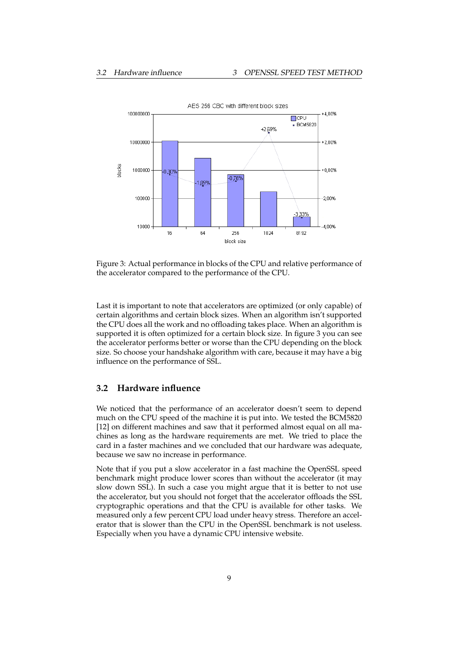

Figure 3: Actual performance in blocks of the CPU and relative performance of the accelerator compared to the performance of the CPU.

Last it is important to note that accelerators are optimized (or only capable) of certain algorithms and certain block sizes. When an algorithm isn't supported the CPU does all the work and no offloading takes place. When an algorithm is supported it is often optimized for a certain block size. In figure 3 you can see the accelerator performs better or worse than the CPU depending on the block size. So choose your handshake algorithm with care, because it may have a big influence on the performance of SSL.

#### **3.2 Hardware influence**

We noticed that the performance of an accelerator doesn't seem to depend much on the CPU speed of the machine it is put into. We tested the BCM5820 [12] on different machines and saw that it performed almost equal on all machines as long as the hardware requirements are met. We tried to place the card in a faster machines and we concluded that our hardware was adequate, because we saw no increase in performance.

Note that if you put a slow accelerator in a fast machine the OpenSSL speed benchmark might produce lower scores than without the accelerator (it may slow down SSL). In such a case you might argue that it is better to not use the accelerator, but you should not forget that the accelerator offloads the SSL cryptographic operations and that the CPU is available for other tasks. We measured only a few percent CPU load under heavy stress. Therefore an accelerator that is slower than the CPU in the OpenSSL benchmark is not useless. Especially when you have a dynamic CPU intensive website.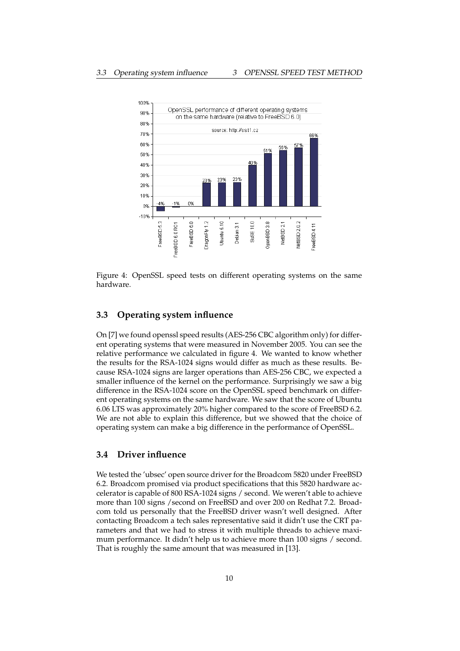

Figure 4: OpenSSL speed tests on different operating systems on the same hardware.

### **3.3 Operating system influence**

On [7] we found openssl speed results (AES-256 CBC algorithm only) for different operating systems that were measured in November 2005. You can see the relative performance we calculated in figure 4. We wanted to know whether the results for the RSA-1024 signs would differ as much as these results. Because RSA-1024 signs are larger operations than AES-256 CBC, we expected a smaller influence of the kernel on the performance. Surprisingly we saw a big difference in the RSA-1024 score on the OpenSSL speed benchmark on different operating systems on the same hardware. We saw that the score of Ubuntu 6.06 LTS was approximately 20% higher compared to the score of FreeBSD 6.2. We are not able to explain this difference, but we showed that the choice of operating system can make a big difference in the performance of OpenSSL.

### **3.4 Driver influence**

We tested the 'ubsec' open source driver for the Broadcom 5820 under FreeBSD 6.2. Broadcom promised via product specifications that this 5820 hardware accelerator is capable of 800 RSA-1024 signs / second. We weren't able to achieve more than 100 signs /second on FreeBSD and over 200 on Redhat 7.2. Broadcom told us personally that the FreeBSD driver wasn't well designed. After contacting Broadcom a tech sales representative said it didn't use the CRT parameters and that we had to stress it with multiple threads to achieve maximum performance. It didn't help us to achieve more than 100 signs / second. That is roughly the same amount that was measured in [13].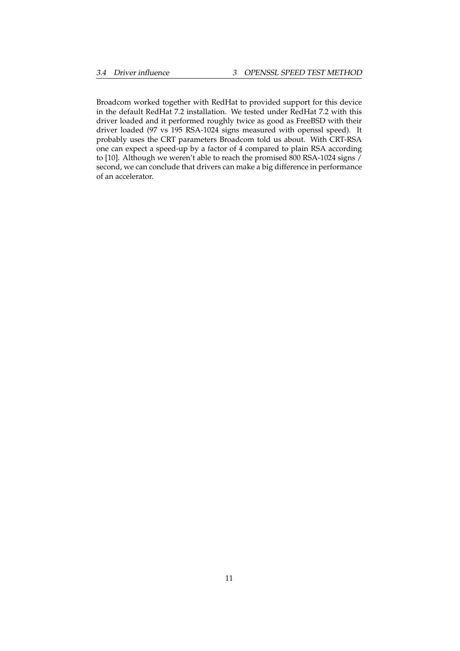Broadcom worked together with RedHat to provided support for this device in the default RedHat 7.2 installation. We tested under RedHat 7.2 with this driver loaded and it performed roughly twice as good as FreeBSD with their driver loaded (97 vs 195 RSA-1024 signs measured with openssl speed). It probably uses the CRT parameters Broadcom told us about. With CRT-RSA one can expect a speed-up by a factor of 4 compared to plain RSA according to [10]. Although we weren't able to reach the promised 800 RSA-1024 signs / second, we can conclude that drivers can make a big difference in performance of an accelerator.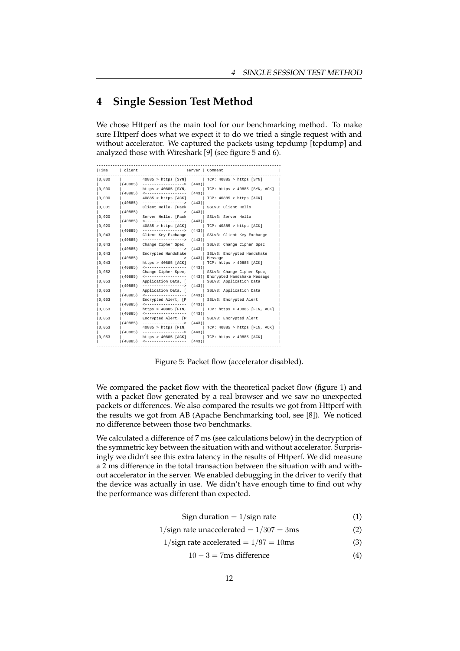## **4 Single Session Test Method**

We chose Httperf as the main tool for our benchmarking method. To make sure Httperf does what we expect it to do we tried a single request with and without accelerator. We captured the packets using tcpdump [tcpdump] and analyzed those with Wireshark [9] (see figure 5 and 6).

| Time  | client  |                                               |       | server Comment                                               |
|-------|---------|-----------------------------------------------|-------|--------------------------------------------------------------|
| 0,000 |         | 40885 > https [SYN]                           |       | $TCP: 40885 > https$ [SYN]                                   |
| 0,000 | (40885) | -------------------><br>https > $40885$ [SYN, | (443) | TCP: https > 40885 [SYN, ACK]                                |
| 0,000 | (40885) | ___________________<br>$40885$ > https [ACK]  | (443) | TCP: 40885 > https [ACK]                                     |
|       | (40885) | ------------------->                          | (443) |                                                              |
| 0,001 | (40885) | Client Hello, [Pack<br>------------------->   | (443) | SSLv3: Client Hello                                          |
| 0,020 | (40885) | Server Hello, [Pack<br>-------------------    | (443) | SSLv3: Server Hello                                          |
| 0,020 |         | $40885$ > https [ACK]                         |       | TCP: 40885 > https [ACK]                                     |
| 0,043 | (40885) | ___________________<br>Client Key Exchange    | (443) | SSLv3: Client Key Exchange                                   |
|       | (40885) | ------------------->                          | (443) |                                                              |
| 0,043 | (40885) | Change Cipher Spec<br>------------------->    | (443) | SSLv3: Change Cipher Spec                                    |
| 0,043 | (40885) | Encrypted Handshake<br>------------------>    |       | SSLv3: Encrypted Handshake<br>$(443)$ Message                |
| 0,043 |         | https://www.10885 [ACK]                       |       | $TCP: \text{https}>40885 [\text{ACK}]$                       |
| 0,052 | (40885) | <br>Change Cipher Spec,                       | (443) | SSLv3: Change Cipher Spec,                                   |
| 0,053 | (40885) | ------------------<br>Application Data, [     |       | (443) Encrypted Handshake Message<br>SSLv3: Application Data |
|       | (40885) | ---------------->                             | (443) |                                                              |
| 0,053 | (40885) | Application Data, [<br>-------------------    | (443) | SSLv3: Application Data                                      |
| 0.053 | (40885) | Encrypted Alert, [P<br>                       | (443) | SSLv3: Encrypted Alert                                       |
| 0,053 |         | https > $40885$ [FIN,                         |       | TCP: https > 40885 [FIN, ACK]                                |
| 0,053 | (40885) | <------------------<br>Encrypted Alert, [P    | (443) | SSLv3: Encrypted Alert                                       |
|       | (40885) | ------------------->                          | (443) |                                                              |
| 0,053 | (40885) | $40885$ > https [FIN,<br>------------------>  | (443) | TCP: 40885 > https [FIN, ACK]                                |
| 0,053 | (40885) | https > 40885 [ACK]                           | (443) | TCP: https > 40885 [ACK]                                     |
|       |         |                                               |       |                                                              |

Figure 5: Packet flow (accelerator disabled).

We compared the packet flow with the theoretical packet flow (figure 1) and with a packet flow generated by a real browser and we saw no unexpected packets or differences. We also compared the results we got from Httperf with the results we got from AB (Apache Benchmarking tool, see [8]). We noticed no difference between those two benchmarks.

We calculated a difference of 7 ms (see calculations below) in the decryption of the symmetric key between the situation with and without accelerator. Surprisingly we didn't see this extra latency in the results of Httperf. We did measure a 2 ms difference in the total transaction between the situation with and without accelerator in the server. We enabled debugging in the driver to verify that the device was actually in use. We didn't have enough time to find out why the performance was different than expected.

| Sign duration $= 1$ /sign rate                      | (1) |
|-----------------------------------------------------|-----|
| $1/\text{sign}$ rate unaccelerated = $1/307 = 3$ ms | (2) |

$$
1/\text{sign rate accelerated} = 1/97 = 10 \text{ms}
$$
 (3)

 $10 - 3 = 7$ ms difference (4)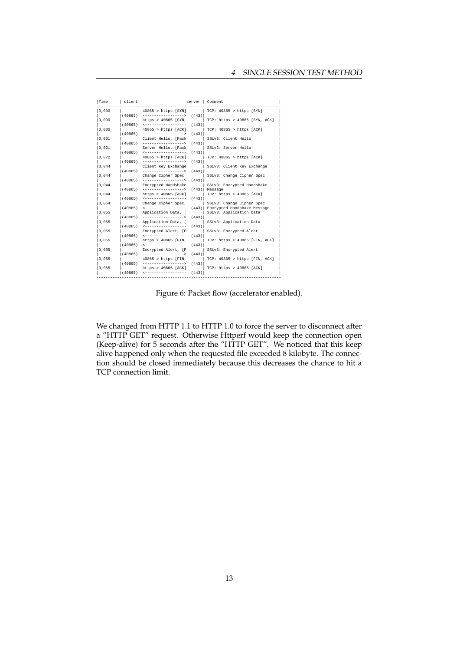| Time  | client  | ______________                                        |       | server   Comment                         |
|-------|---------|-------------------------------------------------------|-------|------------------------------------------|
| 0.000 |         | $40865$ > https [SYN]                                 |       | $TCP: 40865 > https$ [SYN]               |
|       | (40865) | ------------------->                                  | (443) |                                          |
| 0,000 |         | https > 40865 [SYN,                                   |       | TCP: https > 40865 [SYN, ACK]            |
|       |         | $(40865)$ <-------------------                        | (443) |                                          |
| 0,000 |         | $40865$ > https [ACK]                                 |       | TCP: 40865 > https [ACK]                 |
| 0,001 | (40865) | ------------------><br>Client Hello, [Pack            | (443) | SSLv3: Client Hello                      |
|       | (40865) | ------------------>                                   | (443) |                                          |
| 0,021 |         | Server Hello, [Pack                                   |       | SSLv3: Server Hello                      |
|       |         | $(40865)$ $\leftarrow$ ------------------             | (443) |                                          |
| 0,022 |         | $40865$ > https [ACK]                                 |       | TCP: 40865 > https [ACK]                 |
|       | (40865) | ------------------>                                   | (443) |                                          |
| 0,044 |         | Client Key Exchange                                   |       | SSLv3: Client Key Exchange               |
|       | (40865) | ____________________                                  | (443) |                                          |
| 0,044 | (40865) | Change Cipher Spec<br>------------------->            | (443) | SSLv3: Change Cipher Spec                |
| 0,044 |         | Encrypted Handshake                                   |       | SSLv3: Encrypted Handshake               |
|       | (40865) | ------------------>                                   |       | $(443)$ Message                          |
| 0,044 |         | https > 40865 [ACK]                                   |       | $TCP: \text{https} > 40865 [\text{ACK}]$ |
|       | (40865) |                                                       | (443) |                                          |
| 0,054 |         | Change Cipher Spec,                                   |       | SSLv3: Change Cipher Spec                |
|       | (40865) | ------------------                                    |       | (443) Encrypted Handshake Message        |
| 0,055 |         | Application Data, [                                   |       | SSLv3: Application Data                  |
|       | (40865) | ___________________                                   | (443) |                                          |
| 0,055 |         | Application Data, [                                   |       | SSLv3: Application Data                  |
| 0.055 | (40865) | ------------------<br>Encrypted Alert, [P             | (443) | SSLv3: Encrypted Alert                   |
|       | (40865) | ___________________                                   | (443) |                                          |
| 0,055 |         | https > $40865$ [FIN,                                 |       | TCP: https > 40865 [FIN, ACK]            |
|       | (40865) |                                                       | (443) |                                          |
| 0,055 |         | Encrypted Alert, [P                                   |       | SSLv3: Encrypted Alert                   |
|       | (40865) | ------------------->                                  | (443) |                                          |
| 0,055 |         | $40865$ > https [FIN,                                 |       | TCP: $40865$ > https [FIN, ACK]          |
|       | (40865) | ------------------->                                  | (443) |                                          |
| 0,055 |         | https > 40865 [ACK]<br>$(40865)$ <------------------- | (443) | $TCP: \text{https} > 40865 [\text{ACK}]$ |
|       |         |                                                       |       |                                          |

Figure 6: Packet flow (accelerator enabled).

We changed from HTTP 1.1 to HTTP 1.0 to force the server to disconnect after a "HTTP GET" request. Otherwise Httperf would keep the connection open (Keep-alive) for 5 seconds after the "HTTP GET". We noticed that this keep alive happened only when the requested file exceeded 8 kilobyte. The connection should be closed immediately because this decreases the chance to hit a TCP connection limit.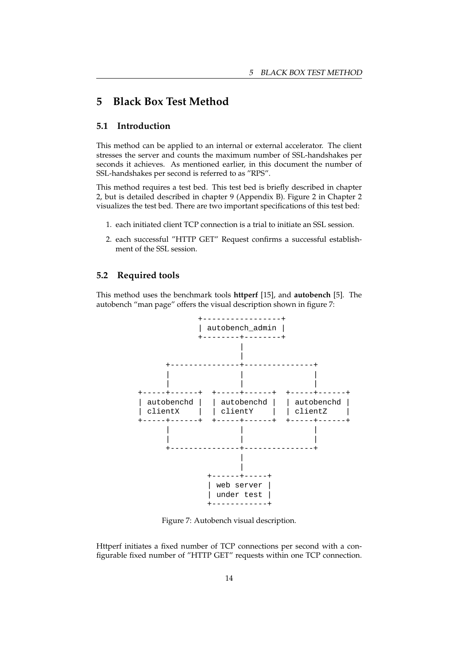## **5 Black Box Test Method**

### **5.1 Introduction**

This method can be applied to an internal or external accelerator. The client stresses the server and counts the maximum number of SSL-handshakes per seconds it achieves. As mentioned earlier, in this document the number of SSL-handshakes per second is referred to as "RPS".

This method requires a test bed. This test bed is briefly described in chapter 2, but is detailed described in chapter 9 (Appendix B). Figure 2 in Chapter 2 visualizes the test bed. There are two important specifications of this test bed:

- 1. each initiated client TCP connection is a trial to initiate an SSL session.
- 2. each successful "HTTP GET" Request confirms a successful establishment of the SSL session.

### **5.2 Required tools**

This method uses the benchmark tools **httperf** [15], and **autobench** [5]. The autobench "man page" offers the visual description shown in figure 7:



Figure 7: Autobench visual description.

Httperf initiates a fixed number of TCP connections per second with a configurable fixed number of "HTTP GET" requests within one TCP connection.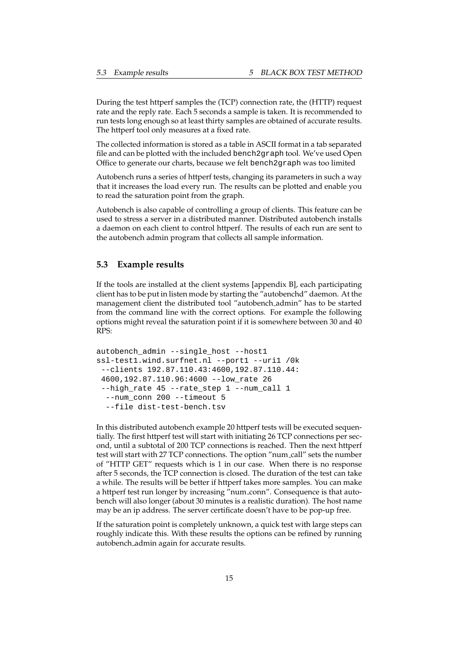During the test httperf samples the (TCP) connection rate, the (HTTP) request rate and the reply rate. Each 5 seconds a sample is taken. It is recommended to run tests long enough so at least thirty samples are obtained of accurate results. The httperf tool only measures at a fixed rate.

The collected information is stored as a table in ASCII format in a tab separated file and can be plotted with the included bench2graph tool. We've used Open Office to generate our charts, because we felt bench2graph was too limited

Autobench runs a series of httperf tests, changing its parameters in such a way that it increases the load every run. The results can be plotted and enable you to read the saturation point from the graph.

Autobench is also capable of controlling a group of clients. This feature can be used to stress a server in a distributed manner. Distributed autobench installs a daemon on each client to control httperf. The results of each run are sent to the autobench admin program that collects all sample information.

### **5.3 Example results**

If the tools are installed at the client systems [appendix B], each participating client has to be put in listen mode by starting the "autobenchd" daemon. At the management client the distributed tool "autobench admin" has to be started from the command line with the correct options. For example the following options might reveal the saturation point if it is somewhere between 30 and 40 RPS:

```
autobench admin --single host --host1
ssl-test1.wind.surfnet.nl --port1 --uri1 /0k
 --clients 192.87.110.43:4600,192.87.110.44:
4600,192.87.110.96:4600 --low_rate 26
 --high rate 45 --rate step 1 --num call 1
 --num conn 200 --timeout 5
 --file dist-test-bench.tsv
```
In this distributed autobench example 20 httperf tests will be executed sequentially. The first httperf test will start with initiating 26 TCP connections per second, until a subtotal of 200 TCP connections is reached. Then the next httperf test will start with 27 TCP connections. The option "num call" sets the number of "HTTP GET" requests which is 1 in our case. When there is no response after 5 seconds, the TCP connection is closed. The duration of the test can take a while. The results will be better if httperf takes more samples. You can make a httperf test run longer by increasing "num conn". Consequence is that autobench will also longer (about 30 minutes is a realistic duration). The host name may be an ip address. The server certificate doesn't have to be pop-up free.

If the saturation point is completely unknown, a quick test with large steps can roughly indicate this. With these results the options can be refined by running autobench admin again for accurate results.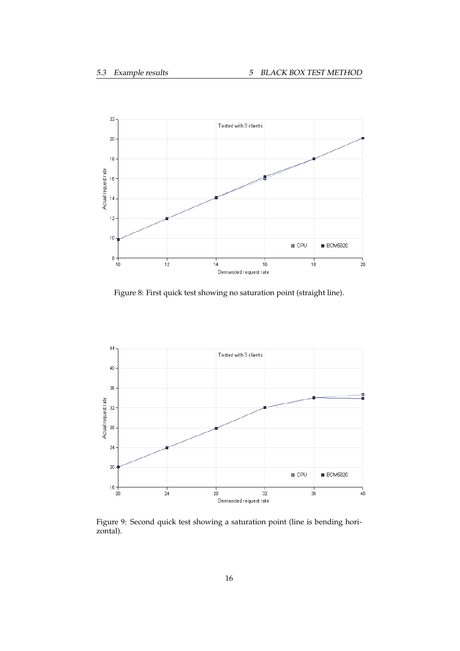

Figure 8: First quick test showing no saturation point (straight line).



Figure 9: Second quick test showing a saturation point (line is bending horizontal).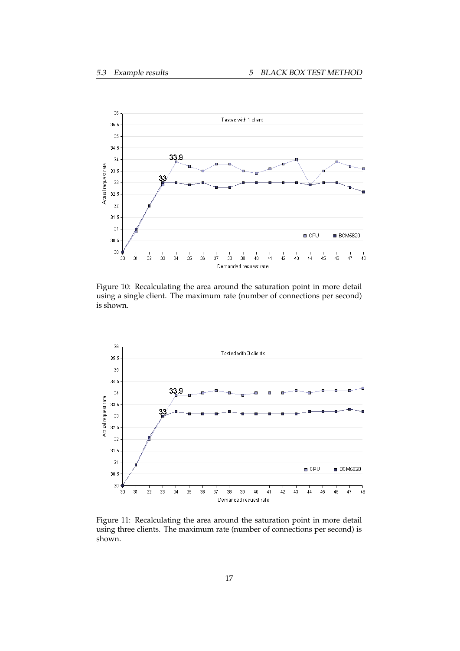

Figure 10: Recalculating the area around the saturation point in more detail using a single client. The maximum rate (number of connections per second) is shown.



Figure 11: Recalculating the area around the saturation point in more detail using three clients. The maximum rate (number of connections per second) is shown.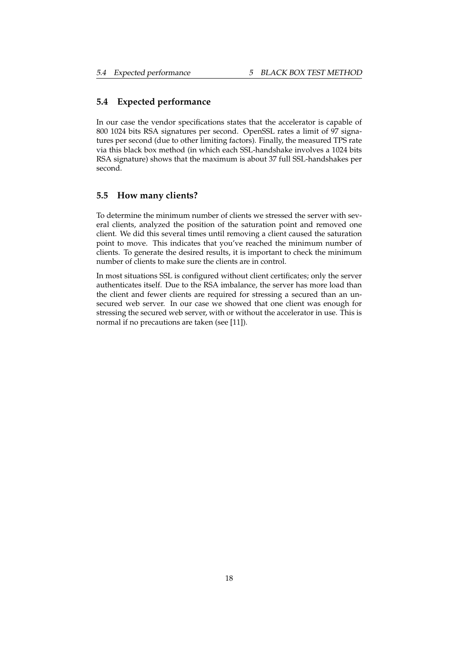### **5.4 Expected performance**

In our case the vendor specifications states that the accelerator is capable of 800 1024 bits RSA signatures per second. OpenSSL rates a limit of 97 signatures per second (due to other limiting factors). Finally, the measured TPS rate via this black box method (in which each SSL-handshake involves a 1024 bits RSA signature) shows that the maximum is about 37 full SSL-handshakes per second.

### **5.5 How many clients?**

To determine the minimum number of clients we stressed the server with several clients, analyzed the position of the saturation point and removed one client. We did this several times until removing a client caused the saturation point to move. This indicates that you've reached the minimum number of clients. To generate the desired results, it is important to check the minimum number of clients to make sure the clients are in control.

In most situations SSL is configured without client certificates; only the server authenticates itself. Due to the RSA imbalance, the server has more load than the client and fewer clients are required for stressing a secured than an unsecured web server. In our case we showed that one client was enough for stressing the secured web server, with or without the accelerator in use. This is normal if no precautions are taken (see [11]).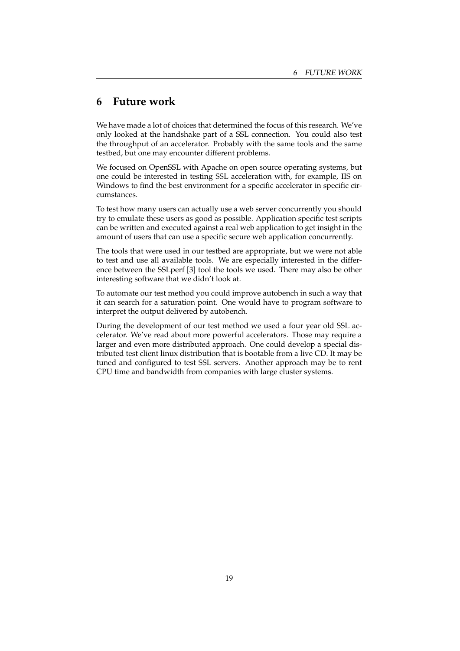## **6 Future work**

We have made a lot of choices that determined the focus of this research. We've only looked at the handshake part of a SSL connection. You could also test the throughput of an accelerator. Probably with the same tools and the same testbed, but one may encounter different problems.

We focused on OpenSSL with Apache on open source operating systems, but one could be interested in testing SSL acceleration with, for example, IIS on Windows to find the best environment for a specific accelerator in specific circumstances.

To test how many users can actually use a web server concurrently you should try to emulate these users as good as possible. Application specific test scripts can be written and executed against a real web application to get insight in the amount of users that can use a specific secure web application concurrently.

The tools that were used in our testbed are appropriate, but we were not able to test and use all available tools. We are especially interested in the difference between the SSLperf [3] tool the tools we used. There may also be other interesting software that we didn't look at.

To automate our test method you could improve autobench in such a way that it can search for a saturation point. One would have to program software to interpret the output delivered by autobench.

During the development of our test method we used a four year old SSL accelerator. We've read about more powerful accelerators. Those may require a larger and even more distributed approach. One could develop a special distributed test client linux distribution that is bootable from a live CD. It may be tuned and configured to test SSL servers. Another approach may be to rent CPU time and bandwidth from companies with large cluster systems.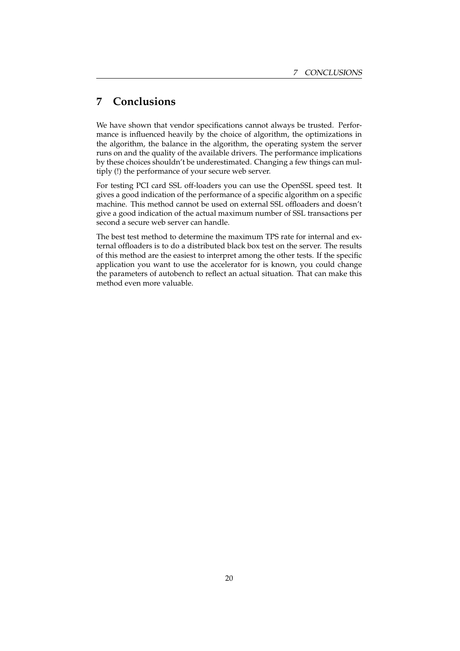## **7 Conclusions**

We have shown that vendor specifications cannot always be trusted. Performance is influenced heavily by the choice of algorithm, the optimizations in the algorithm, the balance in the algorithm, the operating system the server runs on and the quality of the available drivers. The performance implications by these choices shouldn't be underestimated. Changing a few things can multiply (!) the performance of your secure web server.

For testing PCI card SSL off-loaders you can use the OpenSSL speed test. It gives a good indication of the performance of a specific algorithm on a specific machine. This method cannot be used on external SSL offloaders and doesn't give a good indication of the actual maximum number of SSL transactions per second a secure web server can handle.

The best test method to determine the maximum TPS rate for internal and external offloaders is to do a distributed black box test on the server. The results of this method are the easiest to interpret among the other tests. If the specific application you want to use the accelerator for is known, you could change the parameters of autobench to reflect an actual situation. That can make this method even more valuable.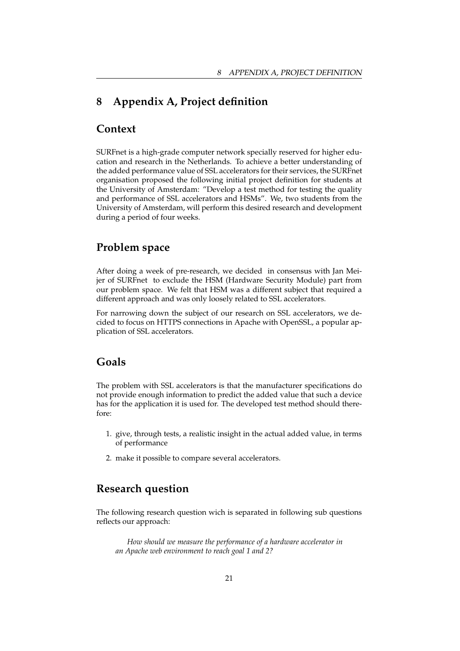## **8 Appendix A, Project definition**

## **Context**

SURFnet is a high-grade computer network specially reserved for higher education and research in the Netherlands. To achieve a better understanding of the added performance value of SSL accelerators for their services, the SURFnet organisation proposed the following initial project definition for students at the University of Amsterdam: "Develop a test method for testing the quality and performance of SSL accelerators and HSMs". We, two students from the University of Amsterdam, will perform this desired research and development during a period of four weeks.

### **Problem space**

After doing a week of pre-research, we decided in consensus with Jan Meijer of SURFnet to exclude the HSM (Hardware Security Module) part from our problem space. We felt that HSM was a different subject that required a different approach and was only loosely related to SSL accelerators.

For narrowing down the subject of our research on SSL accelerators, we decided to focus on HTTPS connections in Apache with OpenSSL, a popular application of SSL accelerators.

## **Goals**

The problem with SSL accelerators is that the manufacturer specifications do not provide enough information to predict the added value that such a device has for the application it is used for. The developed test method should therefore:

- 1. give, through tests, a realistic insight in the actual added value, in terms of performance
- 2. make it possible to compare several accelerators.

## **Research question**

The following research question wich is separated in following sub questions reflects our approach:

*How should we measure the performance of a hardware accelerator in an Apache web environment to reach goal 1 and 2?*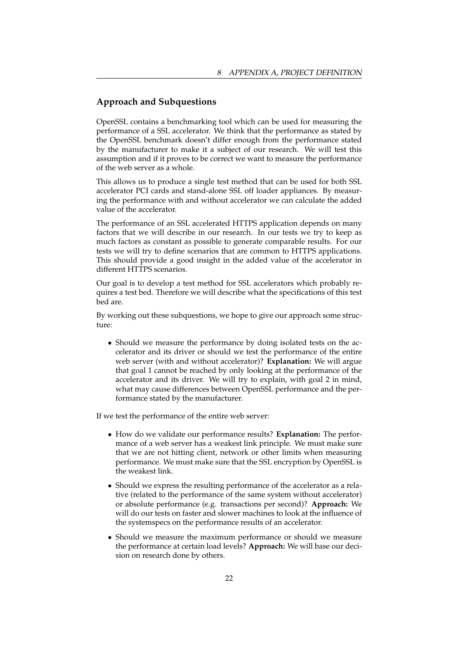### **Approach and Subquestions**

OpenSSL contains a benchmarking tool which can be used for measuring the performance of a SSL accelerator. We think that the performance as stated by the OpenSSL benchmark doesn't differ enough from the performance stated by the manufacturer to make it a subject of our research. We will test this assumption and if it proves to be correct we want to measure the performance of the web server as a whole.

This allows us to produce a single test method that can be used for both SSL accelerator PCI cards and stand-alone SSL off loader appliances. By measuring the performance with and without accelerator we can calculate the added value of the accelerator.

The performance of an SSL accelerated HTTPS application depends on many factors that we will describe in our research. In our tests we try to keep as much factors as constant as possible to generate comparable results. For our tests we will try to define scenarios that are common to HTTPS applications. This should provide a good insight in the added value of the accelerator in different HTTPS scenarios.

Our goal is to develop a test method for SSL accelerators which probably requires a test bed. Therefore we will describe what the specifications of this test bed are.

By working out these subquestions, we hope to give our approach some structure:

• Should we measure the performance by doing isolated tests on the accelerator and its driver or should we test the performance of the entire web server (with and without accelerator)? **Explanation:** We will argue that goal 1 cannot be reached by only looking at the performance of the accelerator and its driver. We will try to explain, with goal 2 in mind, what may cause differences between OpenSSL performance and the performance stated by the manufacturer.

If we test the performance of the entire web server:

- How do we validate our performance results? **Explanation:** The performance of a web server has a weakest link principle. We must make sure that we are not hitting client, network or other limits when measuring performance. We must make sure that the SSL encryption by OpenSSL is the weakest link.
- Should we express the resulting performance of the accelerator as a relative (related to the performance of the same system without accelerator) or absolute performance (e.g. transactions per second)? **Approach:** We will do our tests on faster and slower machines to look at the influence of the systemspecs on the performance results of an accelerator.
- Should we measure the maximum performance or should we measure the performance at certain load levels? **Approach:** We will base our decision on research done by others.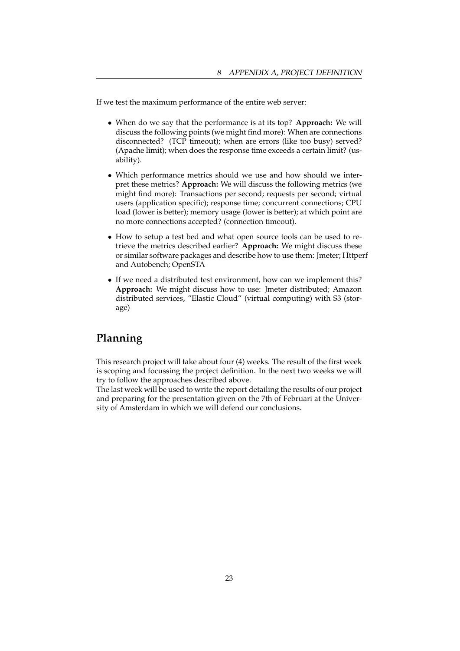If we test the maximum performance of the entire web server:

- When do we say that the performance is at its top? **Approach:** We will discuss the following points (we might find more): When are connections disconnected? (TCP timeout); when are errors (like too busy) served? (Apache limit); when does the response time exceeds a certain limit? (usability).
- Which performance metrics should we use and how should we interpret these metrics? **Approach:** We will discuss the following metrics (we might find more): Transactions per second; requests per second; virtual users (application specific); response time; concurrent connections; CPU load (lower is better); memory usage (lower is better); at which point are no more connections accepted? (connection timeout).
- How to setup a test bed and what open source tools can be used to retrieve the metrics described earlier? **Approach:** We might discuss these or similar software packages and describe how to use them: Jmeter; Httperf and Autobench; OpenSTA
- If we need a distributed test environment, how can we implement this? **Approach:** We might discuss how to use: Jmeter distributed; Amazon distributed services, "Elastic Cloud" (virtual computing) with S3 (storage)

## **Planning**

This research project will take about four (4) weeks. The result of the first week is scoping and focussing the project definition. In the next two weeks we will try to follow the approaches described above.

The last week will be used to write the report detailing the results of our project and preparing for the presentation given on the 7th of Februari at the University of Amsterdam in which we will defend our conclusions.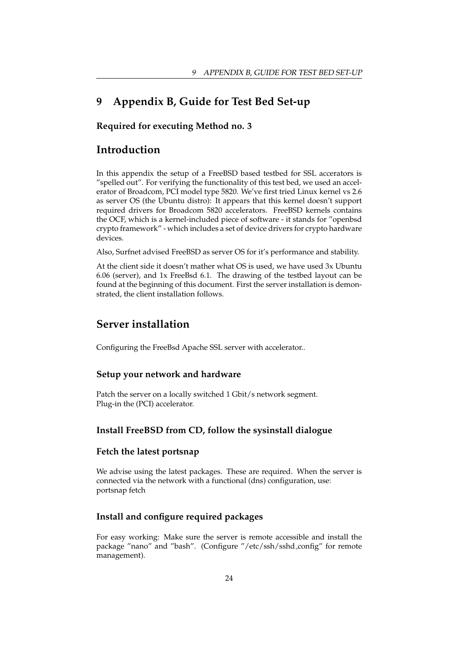## **9 Appendix B, Guide for Test Bed Set-up**

### **Required for executing Method no. 3**

## **Introduction**

In this appendix the setup of a FreeBSD based testbed for SSL accerators is "spelled out". For verifying the functionality of this test bed, we used an accelerator of Broadcom, PCI model type 5820. We've first tried Linux kernel vs 2.6 as server OS (the Ubuntu distro): It appears that this kernel doesn't support required drivers for Broadcom 5820 accelerators. FreeBSD kernels contains the OCF, which is a kernel-included piece of software - it stands for "openbsd crypto framework" - which includes a set of device drivers for crypto hardware devices.

Also, Surfnet advised FreeBSD as server OS for it's performance and stability.

At the client side it doesn't mather what OS is used, we have used 3x Ubuntu 6.06 (server), and 1x FreeBsd 6.1. The drawing of the testbed layout can be found at the beginning of this document. First the server installation is demonstrated, the client installation follows.

## **Server installation**

Configuring the FreeBsd Apache SSL server with accelerator..

#### **Setup your network and hardware**

Patch the server on a locally switched 1 Gbit/s network segment. Plug-in the (PCI) accelerator.

### **Install FreeBSD from CD, follow the sysinstall dialogue**

### **Fetch the latest portsnap**

We advise using the latest packages. These are required. When the server is connected via the network with a functional (dns) configuration, use: portsnap fetch

### **Install and configure required packages**

For easy working: Make sure the server is remote accessible and install the package "nano" and "bash". (Configure "/etc/ssh/sshd config" for remote management).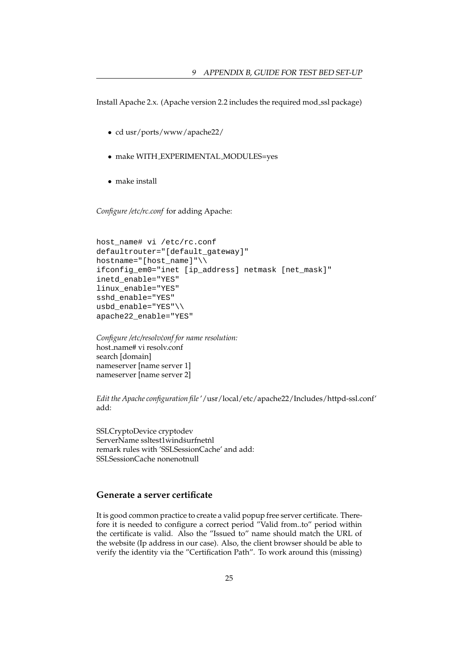Install Apache 2.x. (Apache version 2.2 includes the required mod ssl package)

- cd usr/ports/www/apache22/
- make WITH EXPERIMENTAL MODULES=yes
- make install

*Configure /etc/rc.conf* for adding Apache:

```
host_name# vi /etc/rc.conf
defaultrouter="[default_gateway]"
hostname="[host_name]"\\
ifconfig_em0="inet [ip_address] netmask [net_mask]"
inetd_enable="YES"
linux_enable="YES"
sshd_enable="YES"
usbd_enable="YES"\\
apache22_enable="YES"
```
*Configure /etc/resolv˙conf for name resolution:* host name# vi resolv.conf search [domain] nameserver [name server 1] nameserver [name server 2]

*Edit the Apache configuration file*'/usr/local/etc/apache22/Includes/httpd-ssl.conf' add:

SSLCryptoDevice cryptodev ServerName ssltest1wind surfnetnl remark rules with 'SSLSessionCache' and add: SSLSessionCache nonenotnull

### **Generate a server certificate**

It is good common practice to create a valid popup free server certificate. Therefore it is needed to configure a correct period "Valid from..to" period within the certificate is valid. Also the "Issued to" name should match the URL of the website (Ip address in our case). Also, the client browser should be able to verify the identity via the "Certification Path". To work around this (missing)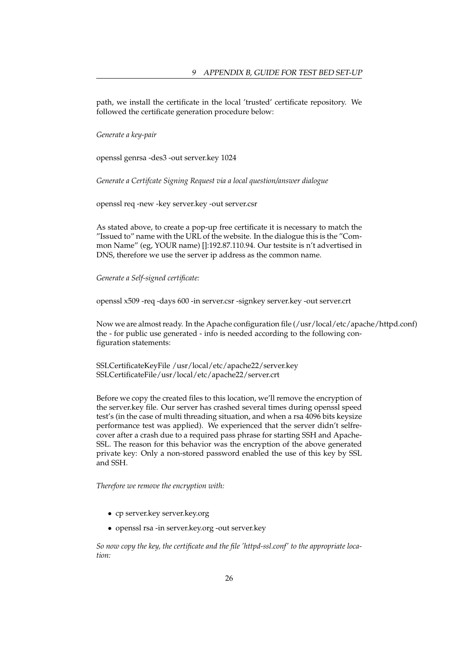path, we install the certificate in the local 'trusted' certificate repository. We followed the certificate generation procedure below:

*Generate a key-pair*

openssl genrsa -des3 -out server.key 1024

*Generate a Certifcate Signing Request via a local question/answer dialogue*

openssl req -new -key server.key -out server.csr

As stated above, to create a pop-up free certificate it is necessary to match the "Issued to" name with the URL of the website. In the dialogue this is the "Common Name" (eg, YOUR name) []:192.87.110.94. Our testsite is n't advertised in DNS, therefore we use the server ip address as the common name.

*Generate a Self-signed certificate:*

openssl x509 -req -days 600 -in server.csr -signkey server.key -out server.crt

Now we are almost ready. In the Apache configuration file (/usr/local/etc/apache/httpd.conf) the - for public use generated - info is needed according to the following configuration statements:

SSLCertificateKeyFile /usr/local/etc/apache22/server.key SSLCertificateFile/usr/local/etc/apache22/server.crt

Before we copy the created files to this location, we'll remove the encryption of the server.key file. Our server has crashed several times during openssl speed test's (in the case of multi threading situation, and when a rsa 4096 bits keysize performance test was applied). We experienced that the server didn't selfrecover after a crash due to a required pass phrase for starting SSH and Apache-SSL. The reason for this behavior was the encryption of the above generated private key: Only a non-stored password enabled the use of this key by SSL and SSH.

*Therefore we remove the encryption with:*

- cp server.key server.key.org
- openssl rsa -in server.key.org -out server.key

*So now copy the key, the certificate and the file 'httpd-ssl.conf' to the appropriate location:*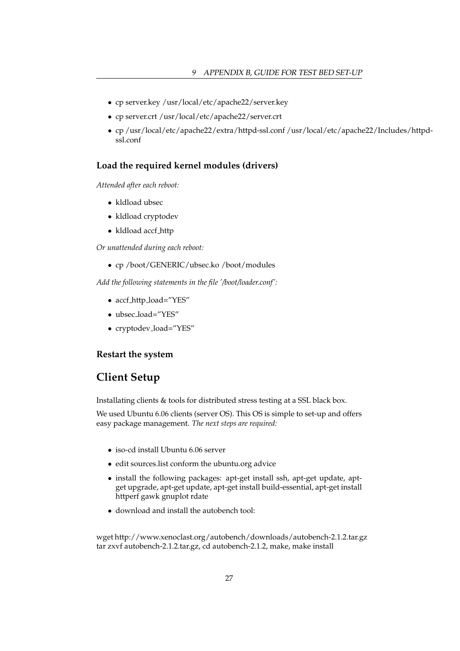- cp server.key /usr/local/etc/apache22/server.key
- cp server.crt /usr/local/etc/apache22/server.crt
- cp /usr/local/etc/apache22/extra/httpd-ssl.conf /usr/local/etc/apache22/Includes/httpdssl.conf

### **Load the required kernel modules (drivers)**

*Attended after each reboot:*

- kldload ubsec
- kldload cryptodev
- kldload accf http

*Or unattended during each reboot:*

• cp /boot/GENERIC/ubsec.ko /boot/modules

*Add the following statements in the file '/boot/loader.conf':*

- accf\_http\_load="YES"
- ubsec load="YES"
- cryptodev load="YES"

### **Restart the system**

## **Client Setup**

Installating clients & tools for distributed stress testing at a SSL black box.

We used Ubuntu 6.06 clients (server OS). This OS is simple to set-up and offers easy package management. *The next steps are required:*

- iso-cd install Ubuntu 6.06 server
- edit sources.list conform the ubuntu.org advice
- install the following packages: apt-get install ssh, apt-get update, aptget upgrade, apt-get update, apt-get install build-essential, apt-get install httperf gawk gnuplot rdate
- download and install the autobench tool:

wget http://www.xenoclast.org/autobench/downloads/autobench-2.1.2.tar.gz tar zxvf autobench-2.1.2.tar.gz, cd autobench-2.1.2, make, make install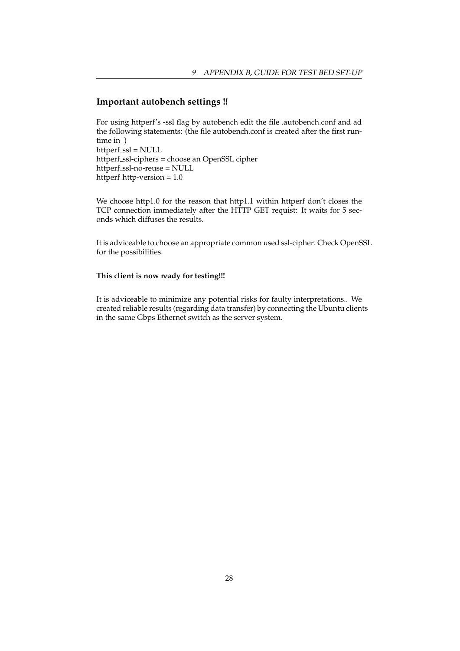### **Important autobench settings !!**

For using httperf's -ssl flag by autobench edit the file .autobench.conf and ad the following statements: (the file autobench.conf is created after the first runtime in ) httperf\_ssl = NULL httperf\_ssl-ciphers = choose an OpenSSL cipher httperf\_ssl-no-reuse = NULL httperf http-version = 1.0

We choose http1.0 for the reason that http1.1 within httperf don't closes the TCP connection immediately after the HTTP GET requist: It waits for 5 seconds which diffuses the results.

It is adviceable to choose an appropriate common used ssl-cipher. Check OpenSSL for the possibilities.

### **This client is now ready for testing!!!**

It is adviceable to minimize any potential risks for faulty interpretations.. We created reliable results (regarding data transfer) by connecting the Ubuntu clients in the same Gbps Ethernet switch as the server system.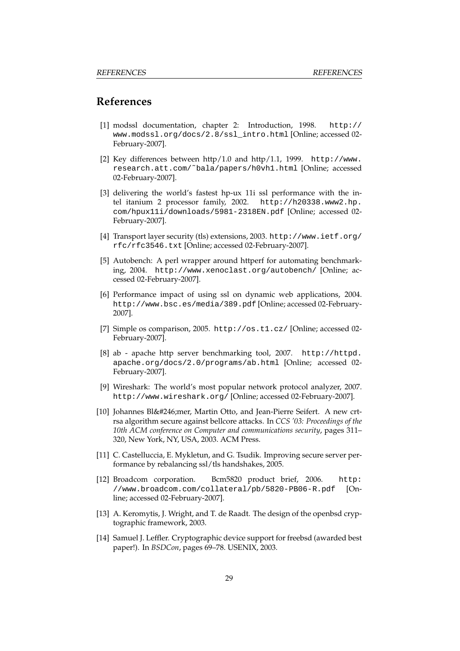### **References**

- [1] modssl documentation, chapter 2: Introduction, 1998. http:// www.modssl.org/docs/2.8/ssl\_intro.html [Online; accessed 02- February-2007].
- [2] Key differences between http/1.0 and http/1.1, 1999. http://www. research.att.com/˜bala/papers/h0vh1.html [Online; accessed 02-February-2007].
- [3] delivering the world's fastest hp-ux 11i ssl performance with the intel itanium 2 processor family, 2002. http://h20338.www2.hp. com/hpux11i/downloads/5981-2318EN.pdf [Online; accessed 02- February-2007].
- [4] Transport layer security (tls) extensions, 2003. http://www.ietf.org/ rfc/rfc3546.txt [Online; accessed 02-February-2007].
- [5] Autobench: A perl wrapper around httperf for automating benchmarking, 2004. http://www.xenoclast.org/autobench/ [Online; accessed 02-February-2007].
- [6] Performance impact of using ssl on dynamic web applications, 2004. http://www.bsc.es/media/389.pdf [Online; accessed 02-February-2007].
- [7] Simple os comparison, 2005. http://os.t1.cz/ [Online; accessed 02- February-2007].
- [8] ab apache http server benchmarking tool, 2007. http://httpd. apache.org/docs/2.0/programs/ab.html [Online; accessed 02- February-2007].
- [9] Wireshark: The world's most popular network protocol analyzer, 2007. http://www.wireshark.org/ [Online; accessed 02-February-2007].
- [10] Johannes Blömer, Martin Otto, and Jean-Pierre Seifert. A new crtrsa algorithm secure against bellcore attacks. In *CCS '03: Proceedings of the 10th ACM conference on Computer and communications security*, pages 311– 320, New York, NY, USA, 2003. ACM Press.
- [11] C. Castelluccia, E. Mykletun, and G. Tsudik. Improving secure server performance by rebalancing ssl/tls handshakes, 2005.
- [12] Broadcom corporation. Bcm5820 product brief, 2006. http: //www.broadcom.com/collateral/pb/5820-PB06-R.pdf [Online; accessed 02-February-2007].
- [13] A. Keromytis, J. Wright, and T. de Raadt. The design of the openbsd cryptographic framework, 2003.
- [14] Samuel J. Leffler. Cryptographic device support for freebsd (awarded best paper!). In *BSDCon*, pages 69–78. USENIX, 2003.